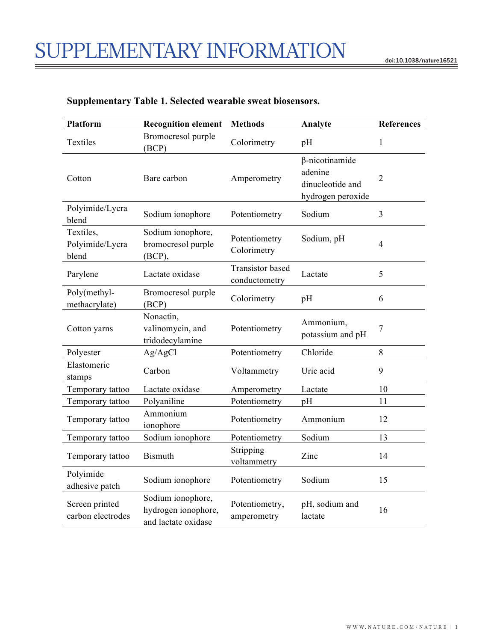| Platform                              | <b>Recognition element</b>                                      | <b>Methods</b>                           | Analyte                                                            | <b>References</b> |
|---------------------------------------|-----------------------------------------------------------------|------------------------------------------|--------------------------------------------------------------------|-------------------|
| Textiles                              | Bromocresol purple<br>(BCP)                                     | Colorimetry                              | pH                                                                 | $\mathbf{1}$      |
| Cotton                                | Bare carbon                                                     | Amperometry                              | β-nicotinamide<br>adenine<br>dinucleotide and<br>hydrogen peroxide | $\overline{2}$    |
| Polyimide/Lycra<br>blend              | Sodium ionophore                                                | Potentiometry                            | Sodium                                                             | 3                 |
| Textiles,<br>Polyimide/Lycra<br>blend | Sodium ionophore,<br>bromocresol purple<br>(BCP),               | Potentiometry<br>Colorimetry             | Sodium, pH                                                         | $\overline{4}$    |
| Parylene                              | Lactate oxidase                                                 | <b>Transistor</b> based<br>conductometry | Lactate                                                            | 5                 |
| Poly(methyl-<br>methacrylate)         | Bromocresol purple<br>(BCP)                                     | Colorimetry                              | pH                                                                 | 6                 |
| Cotton yarns                          | Nonactin,<br>valinomycin, and<br>tridodecylamine                | Potentiometry                            | Ammonium,<br>potassium and pH                                      | $\overline{7}$    |
| Polyester                             | Ag/AgCl                                                         | Potentiometry                            | Chloride                                                           | 8                 |
| Elastomeric<br>stamps                 | Carbon                                                          | Voltammetry                              | Uric acid                                                          | 9                 |
| Temporary tattoo                      | Lactate oxidase                                                 | Amperometry                              | Lactate                                                            | 10                |
| Temporary tattoo                      | Polyaniline                                                     | Potentiometry                            | pH                                                                 | 11                |
| Temporary tattoo                      | Ammonium<br>ionophore                                           | Potentiometry                            | Ammonium                                                           | 12                |
| Temporary tattoo                      | Sodium ionophore                                                | Potentiometry                            | Sodium                                                             | 13                |
| Temporary tattoo                      | <b>Bismuth</b>                                                  | Stripping<br>voltammetry                 | Zinc                                                               | 14                |
| Polyimide<br>adhesive patch           | Sodium ionophore                                                | Potentiometry                            | Sodium                                                             | 15                |
| Screen printed<br>carbon electrodes   | Sodium ionophore,<br>hydrogen ionophore,<br>and lactate oxidase | Potentiometry,<br>amperometry            | pH, sodium and<br>lactate                                          | 16                |

## **Supplementary Table 1. Selected wearable sweat biosensors.**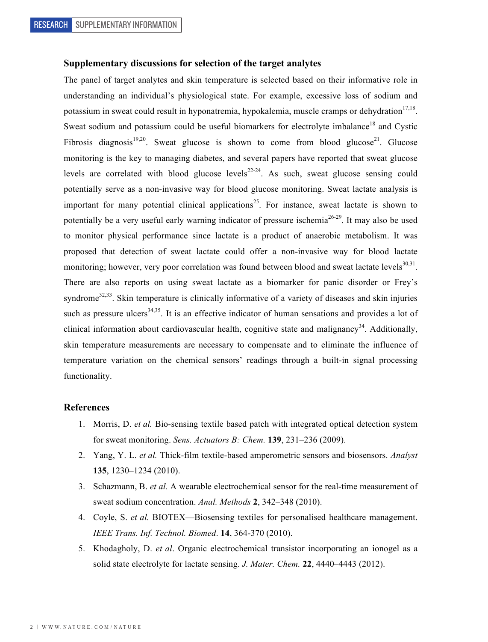## **Supplementary discussions for selection of the target analytes**

The panel of target analytes and skin temperature is selected based on their informative role in understanding an individual's physiological state. For example, excessive loss of sodium and potassium in sweat could result in hyponatremia, hypokalemia, muscle cramps or dehydration<sup>17,18</sup>. Sweat sodium and potassium could be useful biomarkers for electrolyte imbalance<sup>18</sup> and Cystic Fibrosis diagnosis<sup>19,20</sup>. Sweat glucose is shown to come from blood glucose<sup>21</sup>. Glucose monitoring is the key to managing diabetes, and several papers have reported that sweat glucose levels are correlated with blood glucose levels $^{22-24}$ . As such, sweat glucose sensing could potentially serve as a non-invasive way for blood glucose monitoring. Sweat lactate analysis is important for many potential clinical applications<sup>25</sup>. For instance, sweat lactate is shown to potentially be a very useful early warning indicator of pressure ischemia<sup>26-29</sup>. It may also be used to monitor physical performance since lactate is a product of anaerobic metabolism. It was proposed that detection of sweat lactate could offer a non-invasive way for blood lactate monitoring; however, very poor correlation was found between blood and sweat lactate levels<sup>30,31</sup>. There are also reports on using sweat lactate as a biomarker for panic disorder or Frey's syndrome<sup>32,33</sup>. Skin temperature is clinically informative of a variety of diseases and skin injuries such as pressure ulcers<sup>34,35</sup>. It is an effective indicator of human sensations and provides a lot of clinical information about cardiovascular health, cognitive state and malignancy<sup>34</sup>. Additionally, skin temperature measurements are necessary to compensate and to eliminate the influence of temperature variation on the chemical sensors' readings through a built-in signal processing functionality.

## **References**

- 1. Morris, D. *et al.* Bio-sensing textile based patch with integrated optical detection system for sweat monitoring. *Sens. Actuators B: Chem.* **139**, 231–236 (2009).
- 2. Yang, Y. L. *et al.* Thick-film textile-based amperometric sensors and biosensors. *Analyst* **135**, 1230–1234 (2010).
- 3. Schazmann, B. *et al.* A wearable electrochemical sensor for the real-time measurement of sweat sodium concentration. *Anal. Methods* **2**, 342–348 (2010).
- 4. Coyle, S. *et al.* BIOTEX—Biosensing textiles for personalised healthcare management. *IEEE Trans. Inf. Technol. Biomed*. **14**, 364-370 (2010).
- 5. Khodagholy, D. *et al*. Organic electrochemical transistor incorporating an ionogel as a solid state electrolyte for lactate sensing. *J. Mater. Chem.* **22**, 4440–4443 (2012).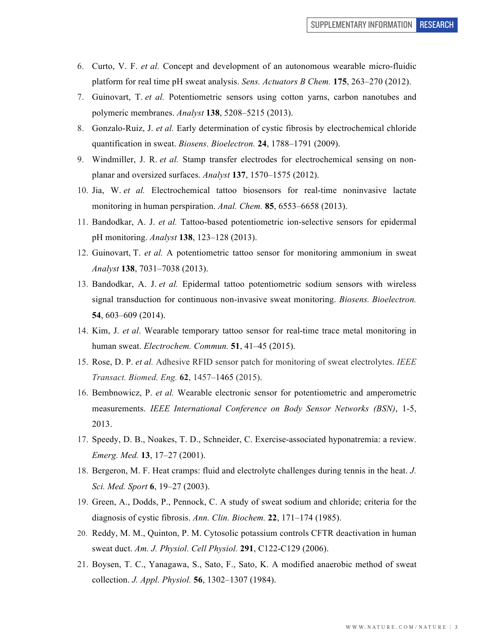- 6. Curto, V. F. *et al.* Concept and development of an autonomous wearable micro-fluidic platform for real time pH sweat analysis. *Sens. Actuators B Chem.* **175**, 263–270 (2012).
- 7. Guinovart, T. *et al.* Potentiometric sensors using cotton yarns, carbon nanotubes and polymeric membranes. *Analyst* **138**, 5208–5215 (2013).
- 8. Gonzalo-Ruiz, J. *et al.* Early determination of cystic fibrosis by electrochemical chloride quantification in sweat. *Biosens. Bioelectron.* **24**, 1788–1791 (2009).
- 9. Windmiller, J. R. *et al.* Stamp transfer electrodes for electrochemical sensing on nonplanar and oversized surfaces. *Analyst* **137**, 1570–1575 (2012).
- 10. Jia, W. *et al.* Electrochemical tattoo biosensors for real-time noninvasive lactate monitoring in human perspiration. *Anal. Chem.* **85**, 6553–6658 (2013).
- 11. Bandodkar, A. J. *et al.* Tattoo-based potentiometric ion-selective sensors for epidermal pH monitoring. *Analyst* **138**, 123–128 (2013).
- 12. Guinovart, T. *et al.* A potentiometric tattoo sensor for monitoring ammonium in sweat *Analyst* **138**, 7031–7038 (2013).
- 13. Bandodkar, A. J. *et al.* Epidermal tattoo potentiometric sodium sensors with wireless signal transduction for continuous non-invasive sweat monitoring. *Biosens. Bioelectron.* **54**, 603–609 (2014).
- 14. Kim, J. *et al*. Wearable temporary tattoo sensor for real-time trace metal monitoring in human sweat. *Electrochem. Commun.* **51**, 41–45 (2015).
- 15. Rose, D. P. *et al.* Adhesive RFID sensor patch for monitoring of sweat electrolytes. *IEEE Transact. Biomed. Eng.* **62**, 1457–1465 (2015).
- 16. Bembnowicz, P. *et al.* Wearable electronic sensor for potentiometric and amperometric measurements. *IEEE International Conference on Body Sensor Networks (BSN)*, 1-5, 2013.
- 17. Speedy, D. B., Noakes, T. D., Schneider, C. Exercise-associated hyponatremia: a review. *Emerg. Med.* **13**, 17–27 (2001).
- 18. Bergeron, M. F. Heat cramps: fluid and electrolyte challenges during tennis in the heat. *J. Sci. Med. Sport* **6**, 19–27 (2003).
- 19. Green, A., Dodds, P., Pennock, C. A study of sweat sodium and chloride; criteria for the diagnosis of cystic fibrosis. *Ann. Clin. Biochem.* **22**, 171–174 (1985).
- 20. Reddy, M. M., Quinton, P. M. Cytosolic potassium controls CFTR deactivation in human sweat duct. *Am. J. Physiol. Cell Physiol.* **291**, C122-C129 (2006).
- 21. Boysen, T. C., Yanagawa, S., Sato, F., Sato, K. A modified anaerobic method of sweat collection. *J. Appl. Physiol.* **56**, 1302–1307 (1984).